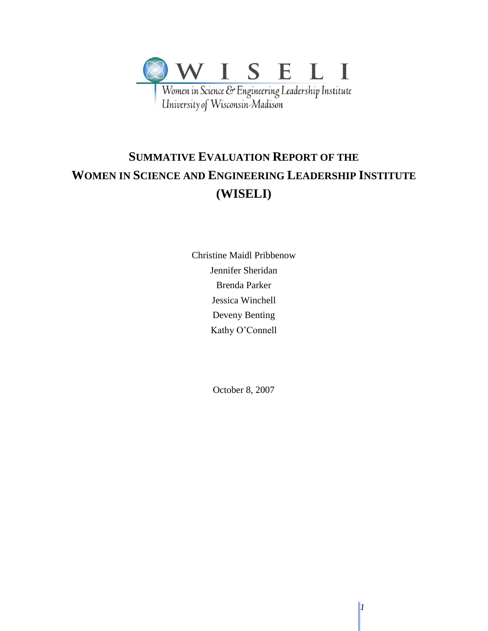

# **SUMMATIVE EVALUATION REPORT OF THE WOMEN IN SCIENCE AND ENGINEERING LEADERSHIP INSTITUTE (WISELI)**

Christine Maidl Pribbenow Jennifer Sheridan Brenda Parker Jessica Winchell Deveny Benting Kathy O'Connell

October 8, 2007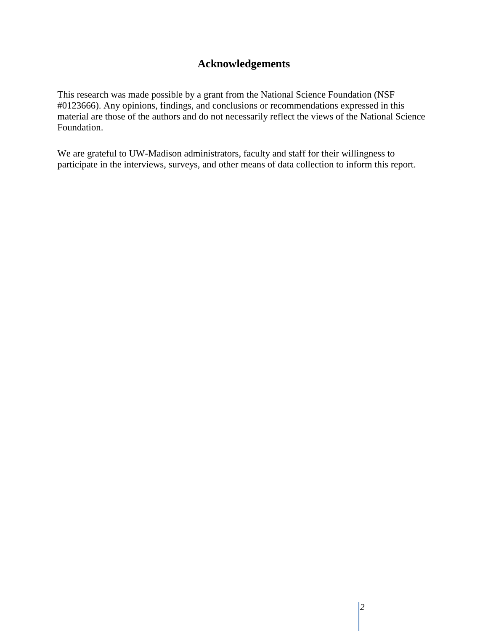## **Acknowledgements**

This research was made possible by a grant from the National Science Foundation (NSF #0123666). Any opinions, findings, and conclusions or recommendations expressed in this material are those of the authors and do not necessarily reflect the views of the National Science Foundation.

We are grateful to UW-Madison administrators, faculty and staff for their willingness to participate in the interviews, surveys, and other means of data collection to inform this report.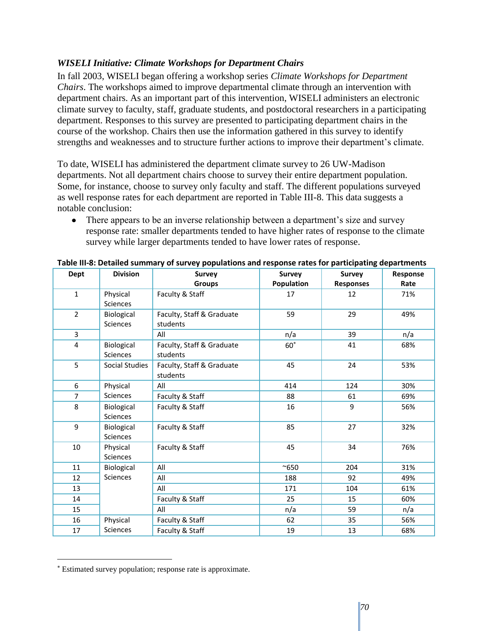### *WISELI Initiative: Climate Workshops for Department Chairs*

In fall 2003, WISELI began offering a workshop series *Climate Workshops for Department Chairs*. The workshops aimed to improve departmental climate through an intervention with department chairs. As an important part of this intervention, WISELI administers an electronic climate survey to faculty, staff, graduate students, and postdoctoral researchers in a participating department. Responses to this survey are presented to participating department chairs in the course of the workshop. Chairs then use the information gathered in this survey to identify strengths and weaknesses and to structure further actions to improve their department's climate.

To date, WISELI has administered the department climate survey to 26 UW-Madison departments. Not all department chairs choose to survey their entire department population. Some, for instance, choose to survey only faculty and staff. The different populations surveyed as well response rates for each department are reported in Table III-8. This data suggests a notable conclusion:

• There appears to be an inverse relationship between a department's size and survey response rate: smaller departments tended to have higher rates of response to the climate survey while larger departments tended to have lower rates of response.

| Dept           | <b>Division</b><br><b>Survey</b> |                                       | <b>Survey</b> | <b>Survey</b>    | Response |
|----------------|----------------------------------|---------------------------------------|---------------|------------------|----------|
|                |                                  | <b>Groups</b>                         | Population    | <b>Responses</b> | Rate     |
| $\mathbf 1$    | Physical<br><b>Sciences</b>      | Faculty & Staff                       | 17            | 12               | 71%      |
| $\overline{2}$ | Biological<br><b>Sciences</b>    | Faculty, Staff & Graduate<br>students | 59            | 29               | 49%      |
| 3              |                                  | All                                   | n/a           | 39               | n/a      |
| $\overline{4}$ | Biological<br>Sciences           | Faculty, Staff & Graduate<br>students | $60^{\circ}$  | 41               | 68%      |
| 5              | Social Studies                   | Faculty, Staff & Graduate<br>students | 45            | 24               | 53%      |
| 6              | Physical                         | All                                   | 414           | 124              | 30%      |
| $\overline{7}$ | <b>Sciences</b>                  | Faculty & Staff                       | 88            | 61               | 69%      |
| 8              | Biological<br><b>Sciences</b>    | Faculty & Staff                       | 16            | 9                | 56%      |
| 9              | Biological<br>Sciences           | Faculty & Staff                       | 85            | 27               | 32%      |
| 10             | Physical<br><b>Sciences</b>      | Faculty & Staff                       | 45            | 34               | 76%      |
| 11             | Biological                       | All                                   | $^{\sim}650$  | 204              | 31%      |
| 12             | Sciences                         | All                                   | 188           | 92               | 49%      |
| 13             |                                  | All                                   | 171           | 104              | 61%      |
| 14             |                                  | Faculty & Staff                       | 25            | 15               | 60%      |
| 15             |                                  | All                                   | n/a           | 59               | n/a      |
| 16             | Physical                         | Faculty & Staff                       | 62            | 35               | 56%      |
| 17             | Sciences                         | Faculty & Staff                       | 19            | 13               | 68%      |

| Table III-8: Detailed summary of survey populations and response rates for participating departments |  |  |  |
|------------------------------------------------------------------------------------------------------|--|--|--|
|------------------------------------------------------------------------------------------------------|--|--|--|

 $\overline{a}$ 

Estimated survey population; response rate is approximate.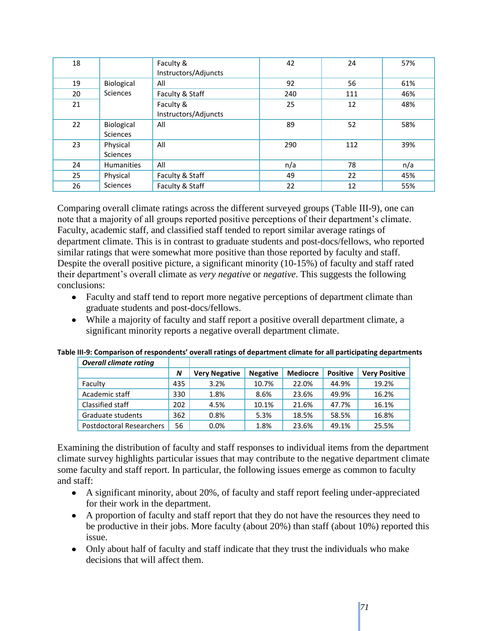| 18 |                   | Faculty &            | 42  | 24  | 57% |
|----|-------------------|----------------------|-----|-----|-----|
|    |                   | Instructors/Adjuncts |     |     |     |
| 19 | Biological        | All                  | 92  | 56  | 61% |
| 20 | Sciences          | Faculty & Staff      | 240 | 111 | 46% |
| 21 |                   | Faculty &            | 25  | 12  | 48% |
|    |                   | Instructors/Adjuncts |     |     |     |
| 22 | Biological        | All                  | 89  | 52  | 58% |
|    | Sciences          |                      |     |     |     |
| 23 | Physical          | All                  | 290 | 112 | 39% |
|    | Sciences          |                      |     |     |     |
| 24 | <b>Humanities</b> | All                  | n/a | 78  | n/a |
| 25 | Physical          | Faculty & Staff      | 49  | 22  | 45% |
| 26 | Sciences          | Faculty & Staff      | 22  | 12  | 55% |

Comparing overall climate ratings across the different surveyed groups (Table III-9), one can note that a majority of all groups reported positive perceptions of their department's climate. Faculty, academic staff, and classified staff tended to report similar average ratings of department climate. This is in contrast to graduate students and post-docs/fellows, who reported similar ratings that were somewhat more positive than those reported by faculty and staff. Despite the overall positive picture, a significant minority (10-15%) of faculty and staff rated their department's overall climate as *very negative* or *negative*. This suggests the following conclusions:

- Faculty and staff tend to report more negative perceptions of department climate than graduate students and post-docs/fellows.
- While a majority of faculty and staff report a positive overall department climate, a significant minority reports a negative overall department climate.

| <b>Overall climate rating</b> |     |                      |                 |                 |                 |                      |
|-------------------------------|-----|----------------------|-----------------|-----------------|-----------------|----------------------|
|                               | N   | <b>Very Negative</b> | <b>Negative</b> | <b>Mediocre</b> | <b>Positive</b> | <b>Very Positive</b> |
| Faculty                       | 435 | 3.2%                 | 10.7%           | 22.0%           | 44.9%           | 19.2%                |
| Academic staff                | 330 | 1.8%                 | 8.6%            | 23.6%           | 49.9%           | 16.2%                |
| Classified staff              | 202 | 4.5%                 | 10.1%           | 21.6%           | 47.7%           | 16.1%                |
| Graduate students             | 362 | 0.8%                 | 5.3%            | 18.5%           | 58.5%           | 16.8%                |
| Postdoctoral Researchers      | 56  | $0.0\%$              | 1.8%            | 23.6%           | 49.1%           | 25.5%                |

**Table III-9: Comparison of respondents' overall ratings of department climate for all participating departments**

Examining the distribution of faculty and staff responses to individual items from the department climate survey highlights particular issues that may contribute to the negative department climate some faculty and staff report. In particular, the following issues emerge as common to faculty and staff:

- A significant minority, about 20%, of faculty and staff report feeling under-appreciated for their work in the department.
- A proportion of faculty and staff report that they do not have the resources they need to be productive in their jobs. More faculty (about 20%) than staff (about 10%) reported this issue.
- Only about half of faculty and staff indicate that they trust the individuals who make decisions that will affect them.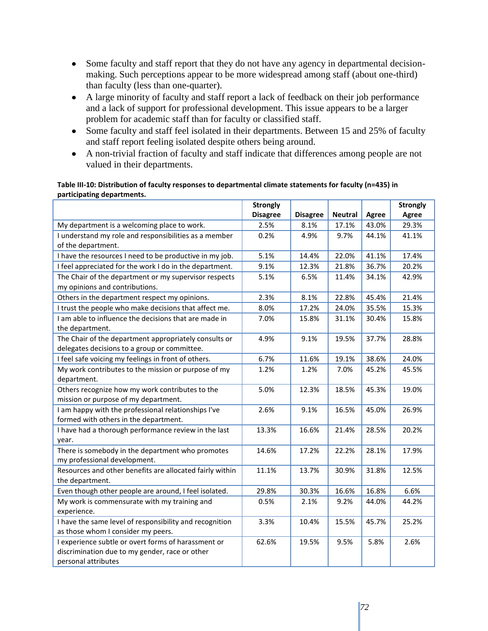- Some faculty and staff report that they do not have any agency in departmental decisionmaking. Such perceptions appear to be more widespread among staff (about one-third) than faculty (less than one-quarter).
- A large minority of faculty and staff report a lack of feedback on their job performance and a lack of support for professional development. This issue appears to be a larger problem for academic staff than for faculty or classified staff.
- Some faculty and staff feel isolated in their departments. Between 15 and 25% of faculty and staff report feeling isolated despite others being around.
- A non-trivial fraction of faculty and staff indicate that differences among people are not valued in their departments.

#### **Table III-10: Distribution of faculty responses to departmental climate statements for faculty (n=435) in participating departments.**

|                                                                                                                              | <b>Strongly</b> |                 |                |              | <b>Strongly</b> |
|------------------------------------------------------------------------------------------------------------------------------|-----------------|-----------------|----------------|--------------|-----------------|
|                                                                                                                              | <b>Disagree</b> | <b>Disagree</b> | <b>Neutral</b> | <b>Agree</b> | <b>Agree</b>    |
| My department is a welcoming place to work.                                                                                  | 2.5%            | 8.1%            | 17.1%          | 43.0%        | 29.3%           |
| I understand my role and responsibilities as a member                                                                        | 0.2%            | 4.9%            | 9.7%           | 44.1%        | 41.1%           |
| of the department.                                                                                                           |                 |                 |                |              |                 |
| I have the resources I need to be productive in my job.                                                                      | 5.1%            | 14.4%           | 22.0%          | 41.1%        | 17.4%           |
| I feel appreciated for the work I do in the department.                                                                      | 9.1%            | 12.3%           | 21.8%          | 36.7%        | 20.2%           |
| The Chair of the department or my supervisor respects<br>my opinions and contributions.                                      | 5.1%            | 6.5%            | 11.4%          | 34.1%        | 42.9%           |
| Others in the department respect my opinions.                                                                                | 2.3%            | 8.1%            | 22.8%          | 45.4%        | 21.4%           |
| I trust the people who make decisions that affect me.                                                                        | 8.0%            | 17.2%           | 24.0%          | 35.5%        | 15.3%           |
| I am able to influence the decisions that are made in                                                                        | 7.0%            | 15.8%           | 31.1%          | 30.4%        | 15.8%           |
| the department.<br>The Chair of the department appropriately consults or<br>delegates decisions to a group or committee.     | 4.9%            | 9.1%            | 19.5%          | 37.7%        | 28.8%           |
| I feel safe voicing my feelings in front of others.                                                                          | 6.7%            | 11.6%           | 19.1%          | 38.6%        | 24.0%           |
| My work contributes to the mission or purpose of my<br>department.                                                           | 1.2%            | 1.2%            | 7.0%           | 45.2%        | 45.5%           |
| Others recognize how my work contributes to the                                                                              | 5.0%            | 12.3%           | 18.5%          | 45.3%        | 19.0%           |
| mission or purpose of my department.                                                                                         |                 |                 |                |              |                 |
| I am happy with the professional relationships I've<br>formed with others in the department.                                 | 2.6%            | 9.1%            | 16.5%          | 45.0%        | 26.9%           |
| I have had a thorough performance review in the last<br>year.                                                                | 13.3%           | 16.6%           | 21.4%          | 28.5%        | 20.2%           |
| There is somebody in the department who promotes<br>my professional development.                                             | 14.6%           | 17.2%           | 22.2%          | 28.1%        | 17.9%           |
| Resources and other benefits are allocated fairly within<br>the department.                                                  | 11.1%           | 13.7%           | 30.9%          | 31.8%        | 12.5%           |
| Even though other people are around, I feel isolated.                                                                        | 29.8%           | 30.3%           | 16.6%          | 16.8%        | 6.6%            |
| My work is commensurate with my training and                                                                                 | 0.5%            | 2.1%            | 9.2%           | 44.0%        | 44.2%           |
| experience.                                                                                                                  |                 |                 |                |              |                 |
| I have the same level of responsibility and recognition                                                                      | 3.3%            | 10.4%           | 15.5%          | 45.7%        | 25.2%           |
| as those whom I consider my peers.                                                                                           |                 |                 |                |              |                 |
| I experience subtle or overt forms of harassment or<br>discrimination due to my gender, race or other<br>personal attributes | 62.6%           | 19.5%           | 9.5%           | 5.8%         | 2.6%            |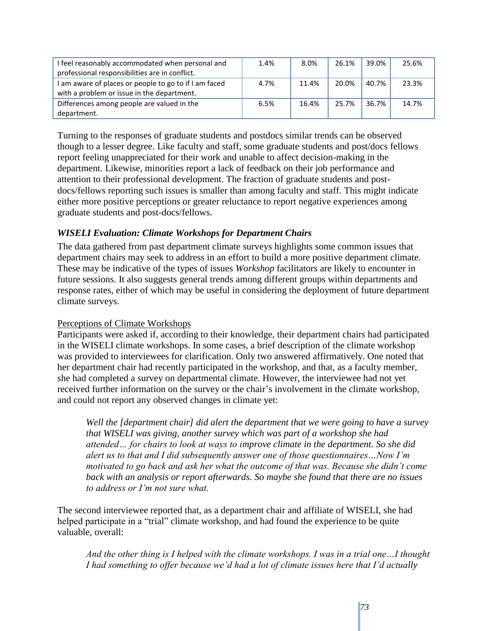| I feel reasonably accommodated when personal and<br>professional responsibilities are in conflict.  | 1.4% | 8.0%  | 26.1% | 39.0% | 25.6% |
|-----------------------------------------------------------------------------------------------------|------|-------|-------|-------|-------|
| I am aware of places or people to go to if I am faced<br>with a problem or issue in the department. | 4.7% | 11.4% | 20.0% | 40.7% | 23.3% |
| Differences among people are valued in the<br>department.                                           | 6.5% | 16.4% | 25.7% | 36.7% | 14.7% |

Turning to the responses of graduate students and postdocs similar trends can be observed though to a lesser degree. Like faculty and staff, some graduate students and post/docs fellows report feeling unappreciated for their work and unable to affect decision-making in the department. Likewise, minorities report a lack of feedback on their job performance and attention to their professional development. The fraction of graduate students and postdocs/fellows reporting such issues is smaller than among faculty and staff. This might indicate either more positive perceptions or greater reluctance to report negative experiences among graduate students and post-docs/fellows.

## *WISELI Evaluation: Climate Workshops for Department Chairs*

The data gathered from past department climate surveys highlights some common issues that department chairs may seek to address in an effort to build a more positive department climate. These may be indicative of the types of issues *Workshop* facilitators are likely to encounter in future sessions. It also suggests general trends among different groups within departments and response rates, either of which may be useful in considering the deployment of future department climate surveys.

## Perceptions of Climate Workshops

Participants were asked if, according to their knowledge, their department chairs had participated in the WISELI climate workshops. In some cases, a brief description of the climate workshop was provided to interviewees for clarification. Only two answered affirmatively. One noted that her department chair had recently participated in the workshop, and that, as a faculty member, she had completed a survey on departmental climate. However, the interviewee had not yet received further information on the survey or the chair's involvement in the climate workshop, and could not report any observed changes in climate yet:

*Well the [department chair] did alert the department that we were going to have a survey that WISELI was giving, another survey which was part of a workshop she had attended… for chairs to look at ways to improve climate in the department. So she did alert us to that and I did subsequently answer one of those questionnaires…Now I'm motivated to go back and ask her what the outcome of that was. Because she didn't come back with an analysis or report afterwards. So maybe she found that there are no issues to address or I'm not sure what.*

The second interviewee reported that, as a department chair and affiliate of WISELI, she had helped participate in a "trial" climate workshop, and had found the experience to be quite valuable, overall:

*And the other thing is I helped with the climate workshops. I was in a trial one…I thought I had something to offer because we'd had a lot of climate issues here that I'd actually*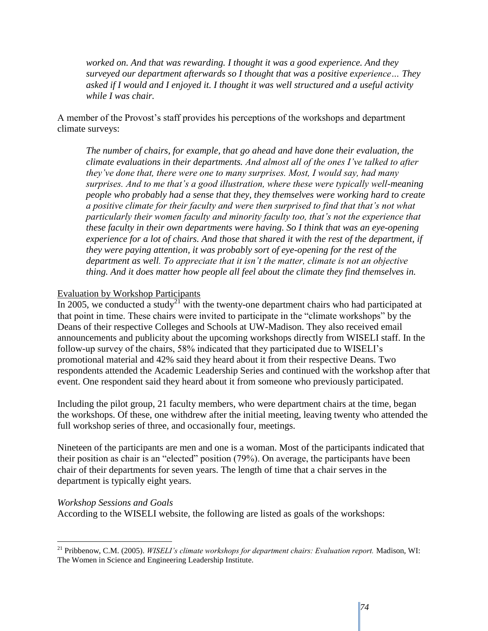*worked on. And that was rewarding. I thought it was a good experience. And they surveyed our department afterwards so I thought that was a positive experience… They asked if I would and I enjoyed it. I thought it was well structured and a useful activity while I was chair.*

A member of the Provost's staff provides his perceptions of the workshops and department climate surveys:

*The number of chairs, for example, that go ahead and have done their evaluation, the climate evaluations in their departments. And almost all of the ones I've talked to after they've done that, there were one to many surprises. Most, I would say, had many surprises. And to me that's a good illustration, where these were typically well-meaning people who probably had a sense that they, they themselves were working hard to create a positive climate for their faculty and were then surprised to find that that's not what particularly their women faculty and minority faculty too, that's not the experience that these faculty in their own departments were having. So I think that was an eye-opening experience for a lot of chairs. And those that shared it with the rest of the department, if they were paying attention, it was probably sort of eye-opening for the rest of the department as well. To appreciate that it isn't the matter, climate is not an objective thing. And it does matter how people all feel about the climate they find themselves in.*

#### Evaluation by Workshop Participants

In 2005, we conducted a study<sup>21</sup> with the twenty-one department chairs who had participated at that point in time. These chairs were invited to participate in the "climate workshops" by the Deans of their respective Colleges and Schools at UW-Madison. They also received email announcements and publicity about the upcoming workshops directly from WISELI staff. In the follow-up survey of the chairs, 58% indicated that they participated due to WISELI's promotional material and 42% said they heard about it from their respective Deans. Two respondents attended the Academic Leadership Series and continued with the workshop after that event. One respondent said they heard about it from someone who previously participated.

Including the pilot group, 21 faculty members, who were department chairs at the time, began the workshops. Of these, one withdrew after the initial meeting, leaving twenty who attended the full workshop series of three, and occasionally four, meetings.

Nineteen of the participants are men and one is a woman. Most of the participants indicated that their position as chair is an "elected" position  $(79\%)$ . On average, the participants have been chair of their departments for seven years. The length of time that a chair serves in the department is typically eight years.

#### *Workshop Sessions and Goals*

 $\overline{a}$ 

According to the WISELI website, the following are listed as goals of the workshops:

<sup>21</sup> Pribbenow, C.M. (2005). *WISELI's climate workshops for department chairs: Evaluation report.* Madison, WI: The Women in Science and Engineering Leadership Institute.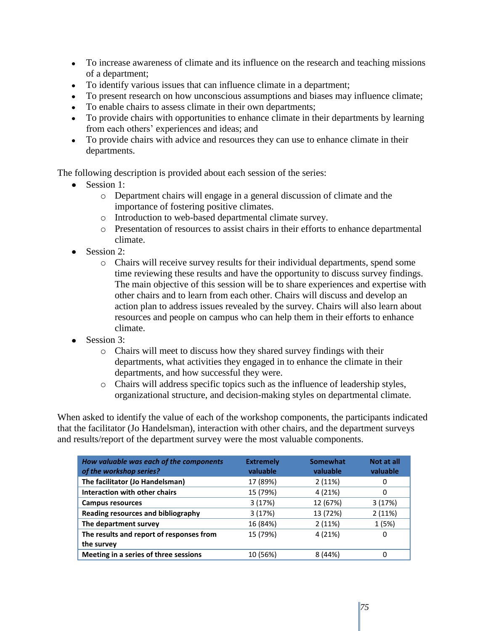- To increase awareness of climate and its influence on the research and teaching missions of a department;
- To identify various issues that can influence climate in a department;
- To present research on how unconscious assumptions and biases may influence climate;
- To enable chairs to assess climate in their own departments;
- To provide chairs with opportunities to enhance climate in their departments by learning from each others' experiences and ideas; and
- To provide chairs with advice and resources they can use to enhance climate in their departments.

The following description is provided about each session of the series:

- Session 1:
	- o Department chairs will engage in a general discussion of climate and the importance of fostering positive climates.
	- o Introduction to web-based departmental climate survey.
	- o Presentation of resources to assist chairs in their efforts to enhance departmental climate.
- Session 2:
	- o Chairs will receive survey results for their individual departments, spend some time reviewing these results and have the opportunity to discuss survey findings. The main objective of this session will be to share experiences and expertise with other chairs and to learn from each other. Chairs will discuss and develop an action plan to address issues revealed by the survey. Chairs will also learn about resources and people on campus who can help them in their efforts to enhance climate.
- Session 3:
	- o Chairs will meet to discuss how they shared survey findings with their departments, what activities they engaged in to enhance the climate in their departments, and how successful they were.
	- o Chairs will address specific topics such as the influence of leadership styles, organizational structure, and decision-making styles on departmental climate.

When asked to identify the value of each of the workshop components, the participants indicated that the facilitator (Jo Handelsman), interaction with other chairs, and the department surveys and results/report of the department survey were the most valuable components.

| How valuable was each of the components<br>of the workshop series? | <b>Extremely</b><br>valuable | Somewhat<br>valuable | Not at all<br>valuable |
|--------------------------------------------------------------------|------------------------------|----------------------|------------------------|
| The facilitator (Jo Handelsman)                                    | 17 (89%)                     | 2(11%)               | 0                      |
| <b>Interaction with other chairs</b>                               | 15 (79%)                     | 4 (21%)              | 0                      |
| <b>Campus resources</b>                                            | 3(17%)                       | 12 (67%)             | 3(17%)                 |
| Reading resources and bibliography                                 | 3(17%)                       | 13 (72%)             | 2(11%)                 |
| The department survey                                              | 16 (84%)                     | 2(11%)               | 1(5%)                  |
| The results and report of responses from                           | 15 (79%)                     | 4 (21%)              | 0                      |
| the survey                                                         |                              |                      |                        |
| Meeting in a series of three sessions                              | 10 (56%)                     | 8(44%)               | 0                      |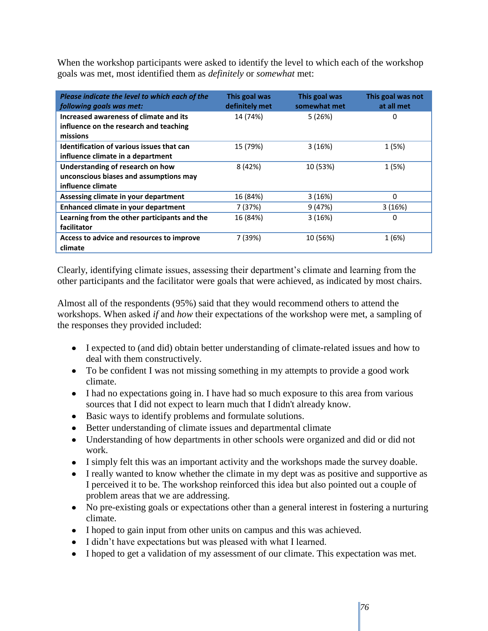When the workshop participants were asked to identify the level to which each of the workshop goals was met, most identified them as *definitely* or *somewhat* met:

| Please indicate the level to which each of the<br>following goals was met:                      | This goal was<br>definitely met | This goal was<br>somewhat met | This goal was not<br>at all met |
|-------------------------------------------------------------------------------------------------|---------------------------------|-------------------------------|---------------------------------|
| Increased awareness of climate and its<br>influence on the research and teaching<br>missions    | 14 (74%)                        | 5(26%)                        | 0                               |
| Identification of various issues that can<br>influence climate in a department                  | 15 (79%)                        | 3(16%)                        | 1 (5%)                          |
| Understanding of research on how<br>unconscious biases and assumptions may<br>influence climate | 8 (42%)                         | 10 (53%)                      | 1 (5%)                          |
| Assessing climate in your department                                                            | 16 (84%)                        | 3(16%)                        | 0                               |
| Enhanced climate in your department                                                             | 7 (37%)                         | 9(47%)                        | 3(16%)                          |
| Learning from the other participants and the<br>facilitator                                     | 16 (84%)                        | 3(16%)                        | 0                               |
| Access to advice and resources to improve<br>climate                                            | 7 (39%)                         | 10 (56%)                      | 1 (6%)                          |

Clearly, identifying climate issues, assessing their department's climate and learning from the other participants and the facilitator were goals that were achieved, as indicated by most chairs.

Almost all of the respondents (95%) said that they would recommend others to attend the workshops. When asked *if* and *how* their expectations of the workshop were met, a sampling of the responses they provided included:

- I expected to (and did) obtain better understanding of climate-related issues and how to deal with them constructively.
- To be confident I was not missing something in my attempts to provide a good work climate.
- I had no expectations going in. I have had so much exposure to this area from various sources that I did not expect to learn much that I didn't already know.
- Basic ways to identify problems and formulate solutions.
- Better understanding of climate issues and departmental climate
- Understanding of how departments in other schools were organized and did or did not work.
- I simply felt this was an important activity and the workshops made the survey doable.
- I really wanted to know whether the climate in my dept was as positive and supportive as I perceived it to be. The workshop reinforced this idea but also pointed out a couple of problem areas that we are addressing.
- No pre-existing goals or expectations other than a general interest in fostering a nurturing climate.
- I hoped to gain input from other units on campus and this was achieved.
- I didn't have expectations but was pleased with what I learned.
- I hoped to get a validation of my assessment of our climate. This expectation was met.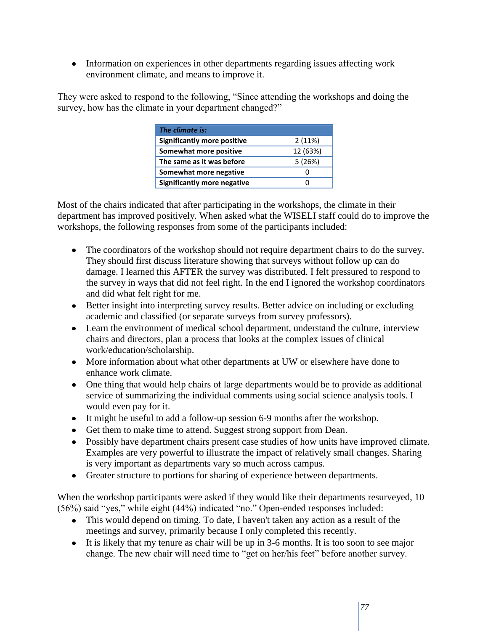• Information on experiences in other departments regarding issues affecting work environment climate, and means to improve it.

They were asked to respond to the following, "Since attending the workshops and doing the survey, how has the climate in your department changed?"

| <b>The climate is:</b>             |          |
|------------------------------------|----------|
| <b>Significantly more positive</b> | 2(11%)   |
| Somewhat more positive             | 12 (63%) |
| The same as it was before          | 5(26%)   |
| Somewhat more negative             | O        |
| <b>Significantly more negative</b> |          |

Most of the chairs indicated that after participating in the workshops, the climate in their department has improved positively. When asked what the WISELI staff could do to improve the workshops, the following responses from some of the participants included:

- The coordinators of the workshop should not require department chairs to do the survey. They should first discuss literature showing that surveys without follow up can do damage. I learned this AFTER the survey was distributed. I felt pressured to respond to the survey in ways that did not feel right. In the end I ignored the workshop coordinators and did what felt right for me.
- Better insight into interpreting survey results. Better advice on including or excluding academic and classified (or separate surveys from survey professors).
- Learn the environment of medical school department, understand the culture, interview chairs and directors, plan a process that looks at the complex issues of clinical work/education/scholarship.
- More information about what other departments at UW or elsewhere have done to enhance work climate.
- One thing that would help chairs of large departments would be to provide as additional service of summarizing the individual comments using social science analysis tools. I would even pay for it.
- It might be useful to add a follow-up session 6-9 months after the workshop.
- Get them to make time to attend. Suggest strong support from Dean.
- Possibly have department chairs present case studies of how units have improved climate. Examples are very powerful to illustrate the impact of relatively small changes. Sharing is very important as departments vary so much across campus.
- Greater structure to portions for sharing of experience between departments.

When the workshop participants were asked if they would like their departments resurveyed, 10  $(56%)$  said "yes," while eight  $(44%)$  indicated "no." Open-ended responses included:

- This would depend on timing. To date, I haven't taken any action as a result of the meetings and survey, primarily because I only completed this recently.
- It is likely that my tenure as chair will be up in 3-6 months. It is too soon to see major change. The new chair will need time to "get on her/his feet" before another survey.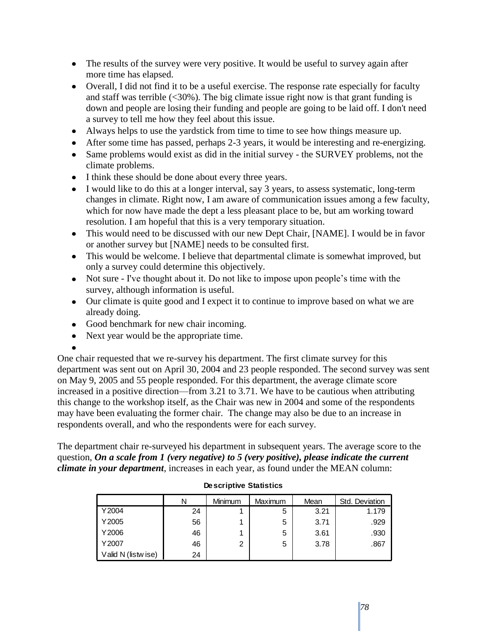- The results of the survey were very positive. It would be useful to survey again after more time has elapsed.
- Overall, I did not find it to be a useful exercise. The response rate especially for faculty and staff was terrible  $\langle$  <30%). The big climate issue right now is that grant funding is down and people are losing their funding and people are going to be laid off. I don't need a survey to tell me how they feel about this issue.
- Always helps to use the yardstick from time to time to see how things measure up.
- After some time has passed, perhaps 2-3 years, it would be interesting and re-energizing.
- Same problems would exist as did in the initial survey the SURVEY problems, not the climate problems.
- I think these should be done about every three years.
- I would like to do this at a longer interval, say 3 years, to assess systematic, long-term changes in climate. Right now, I am aware of communication issues among a few faculty, which for now have made the dept a less pleasant place to be, but am working toward resolution. I am hopeful that this is a very temporary situation.
- This would need to be discussed with our new Dept Chair, [NAME]. I would be in favor or another survey but [NAME] needs to be consulted first.
- This would be welcome. I believe that departmental climate is somewhat improved, but only a survey could determine this objectively.
- Not sure I've thought about it. Do not like to impose upon people's time with the survey, although information is useful.
- Our climate is quite good and I expect it to continue to improve based on what we are already doing.
- Good benchmark for new chair incoming.
- Next year would be the appropriate time.

One chair requested that we re-survey his department. The first climate survey for this department was sent out on April 30, 2004 and 23 people responded. The second survey was sent on May 9, 2005 and 55 people responded. For this department, the average climate score increased in a positive direction—from 3.21 to 3.71. We have to be cautious when attributing this change to the workshop itself, as the Chair was new in 2004 and some of the respondents may have been evaluating the former chair. The change may also be due to an increase in respondents overall, and who the respondents were for each survey.

The department chair re-surveyed his department in subsequent years. The average score to the question, *On a scale from 1 (very negative) to 5 (very positive), please indicate the current climate in your department*, increases in each year, as found under the MEAN column:

|                    | N  | Minimum | Maximum | Mean | Std. Deviation |
|--------------------|----|---------|---------|------|----------------|
| Y2004              | 24 |         | 5       | 3.21 | 1.179          |
| Y2005              | 56 |         | 5       | 3.71 | .929           |
| Y2006              | 46 |         | 5       | 3.61 | .930           |
| Y2007              | 46 | 2       | 5       | 3.78 | .867           |
| Valid N (listwise) | 24 |         |         |      |                |

#### **Descriptive Statistics**